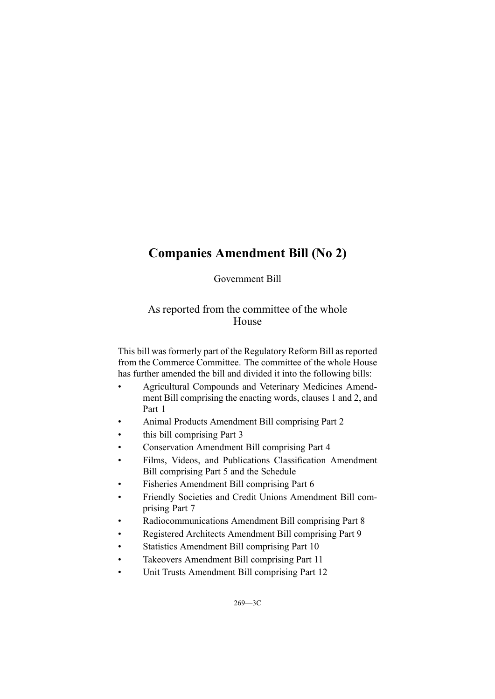# **Companies Amendment Bill (No 2)**

Government Bill

## As reported from the committee of the whole House

This bill was formerly par<sup>t</sup> of the Regulatory Reform Bill as reported from the Commerce Committee. The committee of the whole House has further amended the bill and divided it into the following bills:

- • Agricultural Compounds and Veterinary Medicines Amendment Bill comprising the enacting words, clauses 1 and 2, and Part 1
- •Animal Products Amendment Bill comprising Part 2
- •this bill comprising Part 3
- •Conservation Amendment Bill comprising Part 4
- • Films, Videos, and Publications Classification Amendment Bill comprising Part 5 and the Schedule
- •Fisheries Amendment Bill comprising Part 6
- • Friendly Societies and Credit Unions Amendment Bill comprising Part 7
- •Radiocommunications Amendment Bill comprising Part 8
- •Registered Architects Amendment Bill comprising Part 9
- •Statistics Amendment Bill comprising Part 10
- •Takeovers Amendment Bill comprising Part 11
- •Unit Trusts Amendment Bill comprising Part 12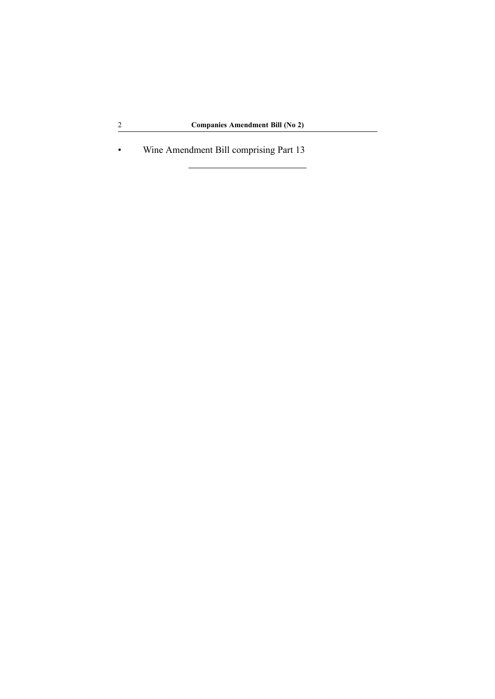•Wine Amendment Bill comprising Part 13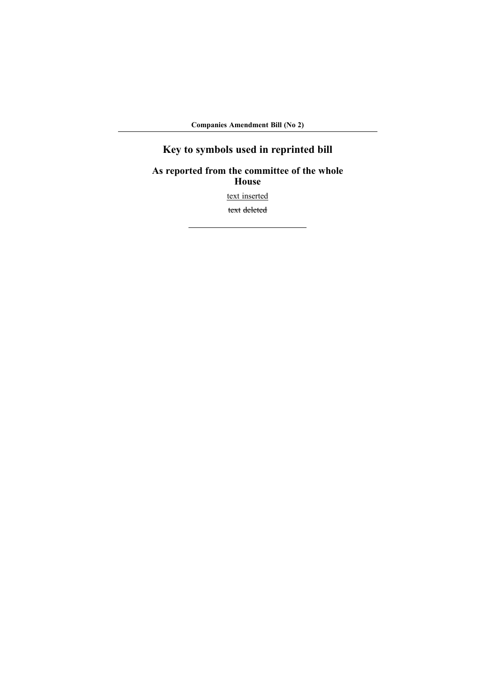**Companies Amendment Bill (No 2)**

# **Key to symbols used in reprinted bill**

## **As reported from the committee of the whole House** text inserted text deleted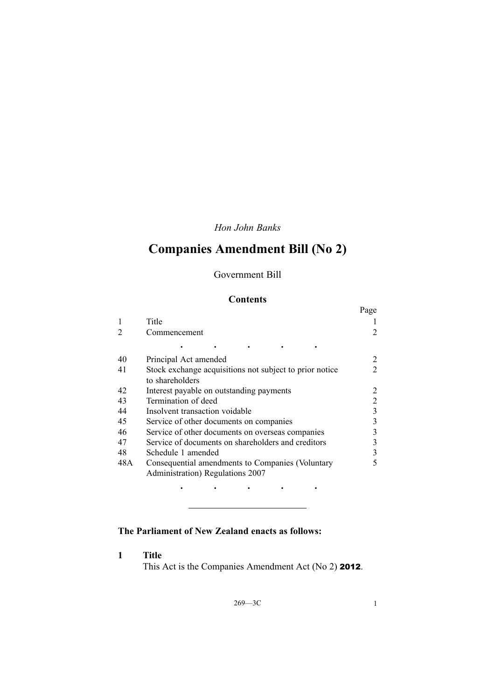## *Hon John Banks*

# **Companies Amendment Bill (No 2)**

## Government Bill

### **Contents**

|     |                                                                                      | Page |
|-----|--------------------------------------------------------------------------------------|------|
|     | Title                                                                                |      |
|     | Commencement                                                                         | 2    |
|     |                                                                                      |      |
| 40  | Principal Act amended                                                                | 2    |
| 41  | Stock exchange acquisitions not subject to prior notice<br>to shareholders           | 2    |
| 42  | Interest payable on outstanding payments                                             |      |
| 43  | Termination of deed                                                                  | 2    |
| 44  | Insolvent transaction voidable                                                       | 3    |
| 45  | Service of other documents on companies                                              | 3    |
| 46  | Service of other documents on overseas companies                                     | 3    |
| 47  | Service of documents on shareholders and creditors                                   | 3    |
| 48  | Schedule 1 amended                                                                   | 3    |
| 48A | Consequential amendments to Companies (Voluntary<br>Administration) Regulations 2007 | 5    |
|     |                                                                                      |      |

## **The Parliament of New Zealand enacts as follows:**

**1 Title**

This Act is the Companies Amendment Act (No 2) <sup>2012</sup>.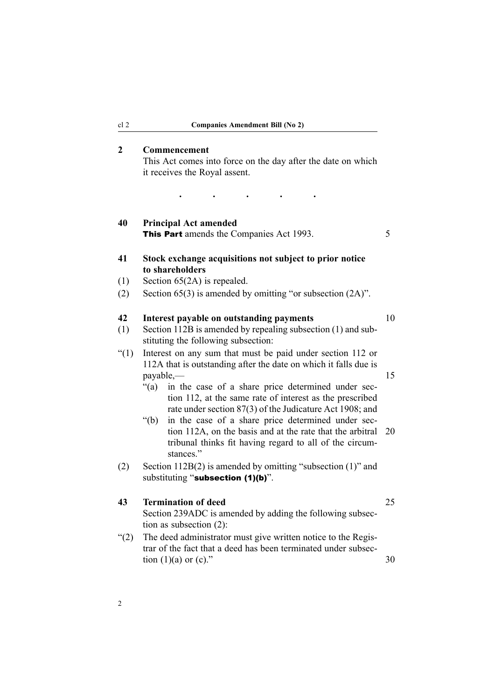#### <span id="page-5-0"></span>**2 Commencement**

This Act comes into force on the day after the date on which it receives the Royal assent.

· · · ·

**40 Principal Act amended** This Part amends the Companies Act 1993.

### **41 Stock exchange acquisitions not subject to prior notice to shareholders**

- (1) Section 65(2A) is repealed.
- (2) Section 65(3) is amended by omitting "or subsection (2A)".

#### **42 Interest payable on outstanding payments** 10

- (1) Section 112B is amended by repealing subsection (1) and substituting the following subsection:
- "(1) Interest on any sum that must be paid under section 112 or 112A that is outstanding after the date on which it falls due is payable,— 15
	- "(a) in the case of <sup>a</sup> share price determined under section 112, at the same rate of interest as the prescribed rate under section 87(3) of the Judicature Act 1908; and
	- "(b) in the case of <sup>a</sup> share price determined under section 112A, on the basis and at the rate that the arbitral 20 tribunal thinks fit having regard to all of the circumstances."
- (2) Section 112B(2) is amended by omitting "subsection (1)" and substituting "subsection (1)(b)".

#### **43 Termination of deed** 25

Section 239ADC is amended by adding the following subsection as subsection (2):

- "(2) The deed administrator must give written notice to the Registrar of the fact that <sup>a</sup> deed has been terminated under subsection  $(1)(a)$  or  $(c)$ ." 30
- 2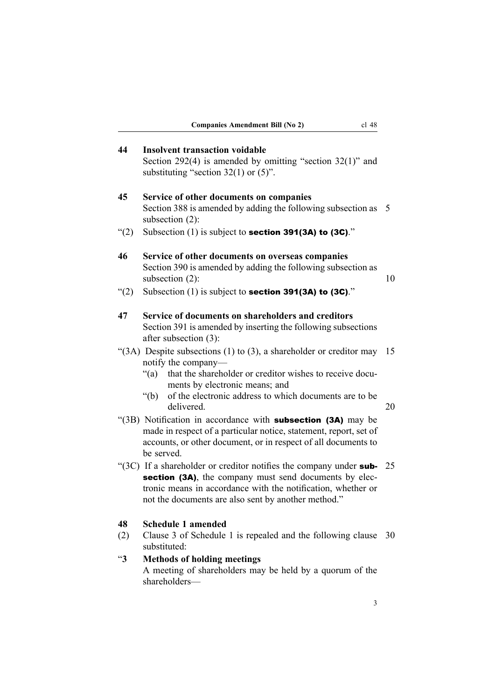<span id="page-6-0"></span>

| 44            | <b>Insolvent transaction voidable</b><br>Section $292(4)$ is amended by omitting "section $32(1)$ " and<br>substituting "section $32(1)$ or $(5)$ ".                                                                                                                                              |          |
|---------------|---------------------------------------------------------------------------------------------------------------------------------------------------------------------------------------------------------------------------------------------------------------------------------------------------|----------|
| 45            | Service of other documents on companies<br>Section 388 is amended by adding the following subsection as<br>subsection $(2)$ :                                                                                                                                                                     | 5        |
| (2)           | Subsection $(1)$ is subject to <b>section 391(3A) to (3C)</b> ."                                                                                                                                                                                                                                  |          |
| 46            | Service of other documents on overseas companies<br>Section 390 is amended by adding the following subsection as<br>subsection $(2)$ :                                                                                                                                                            | 10       |
| (2)           | Subsection $(1)$ is subject to <b>section 391(3A) to (3C)</b> ."                                                                                                                                                                                                                                  |          |
| 47            | Service of documents on shareholders and creditors<br>Section 391 is amended by inserting the following subsections<br>after subsection (3):                                                                                                                                                      |          |
|               | " $(3A)$ Despite subsections $(1)$ to $(3)$ , a shareholder or creditor may<br>notify the company—<br>that the shareholder or creditor wishes to receive docu-<br>$\lq(a)$<br>ments by electronic means; and<br>of the electronic address to which documents are to be<br>" $(b)$ "<br>delivered. | 15<br>20 |
|               | "(3B) Notification in accordance with <b>subsection (3A)</b> may be<br>made in respect of a particular notice, statement, report, set of<br>accounts, or other document, or in respect of all documents to<br>be served.                                                                          |          |
|               | "( $3C$ ) If a shareholder or creditor notifies the company under sub-<br>section (3A), the company must send documents by elec-<br>tronic means in accordance with the notification, whether or<br>not the documents are also sent by another method."                                           | 25       |
| 48<br>(2)     | <b>Schedule 1 amended</b><br>Clause 3 of Schedule 1 is repealed and the following clause<br>substituted:                                                                                                                                                                                          | 30       |
| $\mathbf{43}$ | <b>Methods of holding meetings</b><br>A meeting of shareholders may be held by a quorum of the<br>shareholders-                                                                                                                                                                                   |          |
|               | 3                                                                                                                                                                                                                                                                                                 |          |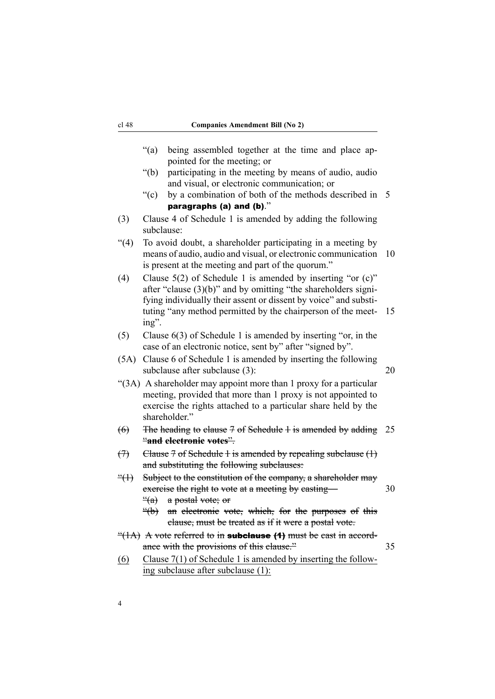|                            | ``(a)<br>being assembled together at the time and place ap-<br>pointed for the meeting; or                                                                                                                                                                                     |    |
|----------------------------|--------------------------------------------------------------------------------------------------------------------------------------------------------------------------------------------------------------------------------------------------------------------------------|----|
|                            | " $(b)$<br>participating in the meeting by means of audio, audio<br>and visual, or electronic communication; or                                                                                                                                                                |    |
|                            | $\mathrm{``(c)}$<br>by a combination of both of the methods described in 5<br>paragraphs (a) and (b)."                                                                                                                                                                         |    |
|                            | Clause 4 of Schedule 1 is amended by adding the following                                                                                                                                                                                                                      |    |
| (3)                        | subclause:                                                                                                                                                                                                                                                                     |    |
| (4)                        | To avoid doubt, a shareholder participating in a meeting by<br>means of audio, audio and visual, or electronic communication<br>is present at the meeting and part of the quorum."                                                                                             | 10 |
| (4)                        | Clause $5(2)$ of Schedule 1 is amended by inserting "or (c)"<br>after "clause $(3)(b)$ " and by omitting "the shareholders signi-<br>fying individually their assent or dissent by voice" and substi-<br>tuting "any method permitted by the chairperson of the meet-<br>ing". | 15 |
| (5)                        | Clause $6(3)$ of Schedule 1 is amended by inserting "or, in the<br>case of an electronic notice, sent by" after "signed by".                                                                                                                                                   |    |
| (5A)                       | Clause 6 of Schedule 1 is amended by inserting the following<br>subclause after subclause (3):                                                                                                                                                                                 | 20 |
|                            | "(3A) A shareholder may appoint more than 1 proxy for a particular<br>meeting, provided that more than 1 proxy is not appointed to<br>exercise the rights attached to a particular share held by the<br>shareholder."                                                          |    |
| $\left( 6 \right)$         | The heading to clause $7$ of Schedule $1$ is amended by adding<br>"and electronic votes".                                                                                                                                                                                      | 25 |
| $\left(\frac{1}{2}\right)$ | Clause $7$ of Schedule 1 is amended by repealing subclause $(1)$<br>and substituting the following subclauses:                                                                                                                                                                 |    |
| $\frac{d}{dx}$             | Subject to the constitution of the company, a shareholder may<br>exercise the right to vote at a meeting by easting-<br>a postal vote; or<br>$\frac{a}{a}$                                                                                                                     | 30 |
|                            | $\triangleq$<br>an electronic vote, which, for the purposes of this<br>clause, must be treated as if it were a postal vote.                                                                                                                                                    |    |
|                            | $\frac{4}{1}$ A vote referred to in <b>subclause</b> ( <b>1</b> ) must be east in accord-<br>ance with the provisions of this clause."                                                                                                                                         | 35 |
| (6)                        | Clause $7(1)$ of Schedule 1 is amended by inserting the follow-<br>ing subclause after subclause (1):                                                                                                                                                                          |    |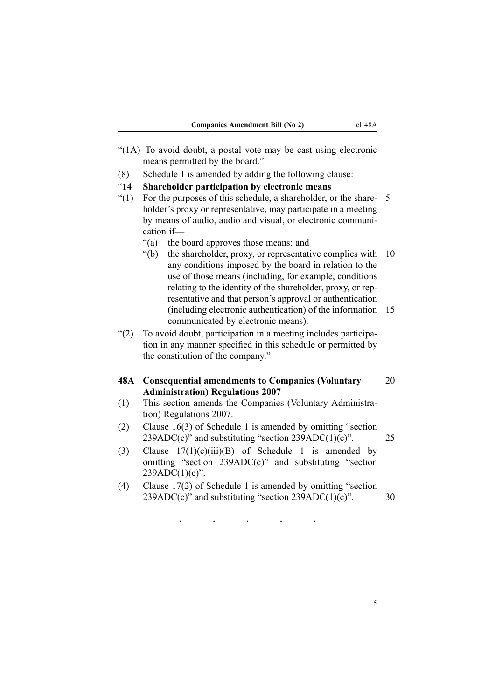- <span id="page-8-0"></span>"(1A) To avoid doubt, <sup>a</sup> postal vote may be cast using electronic means permitted by the board."
- (8) Schedule 1 is amended by adding the following clause:
- "**14 Shareholder participation by electronic means**
- "(1) For the purposes of this schedule, a shareholder, or the share-  $5$ holder's proxy or representative, may participate in <sup>a</sup> meeting by means of audio, audio and visual, or electronic communication if—
	- "(a) the board approves those means; and
	- "(b) the shareholder, proxy, or representative complies with 10 any conditions imposed by the board in relation to the use of those means (including, for example, conditions relating to the identity of the shareholder, proxy, or representative and that person's approval or authentication (including electronic authentication) of the information 15 communicated by electronic means).
- "(2) To avoid doubt, participation in <sup>a</sup> meeting includes participation in any manner specified in this schedule or permitted by the constitution of the company."

#### **48A Consequential amendments to Companies (Voluntary** 20 **Administration) Regulations 2007**

- (1) This section amends the Companies (Voluntary Administration) Regulations 2007.
- (2) Clause 16(3) of Schedule 1 is amended by omitting "section  $239ADC(c)$ " and substituting "section  $239ADC(1)(c)$ ". 25
- (3) Clause  $17(1)(c)(iii)(B)$  of Schedule 1 is amended by omitting "section 239ADC(c)" and substituting "section  $239ADC(1)(c)$ ".
- (4) Clause 17(2) of Schedule 1 is amended by omitting "section  $239ADC(c)$ " and substituting "section  $239ADC(1)(c)$ ".  $30$

· · · ·

·